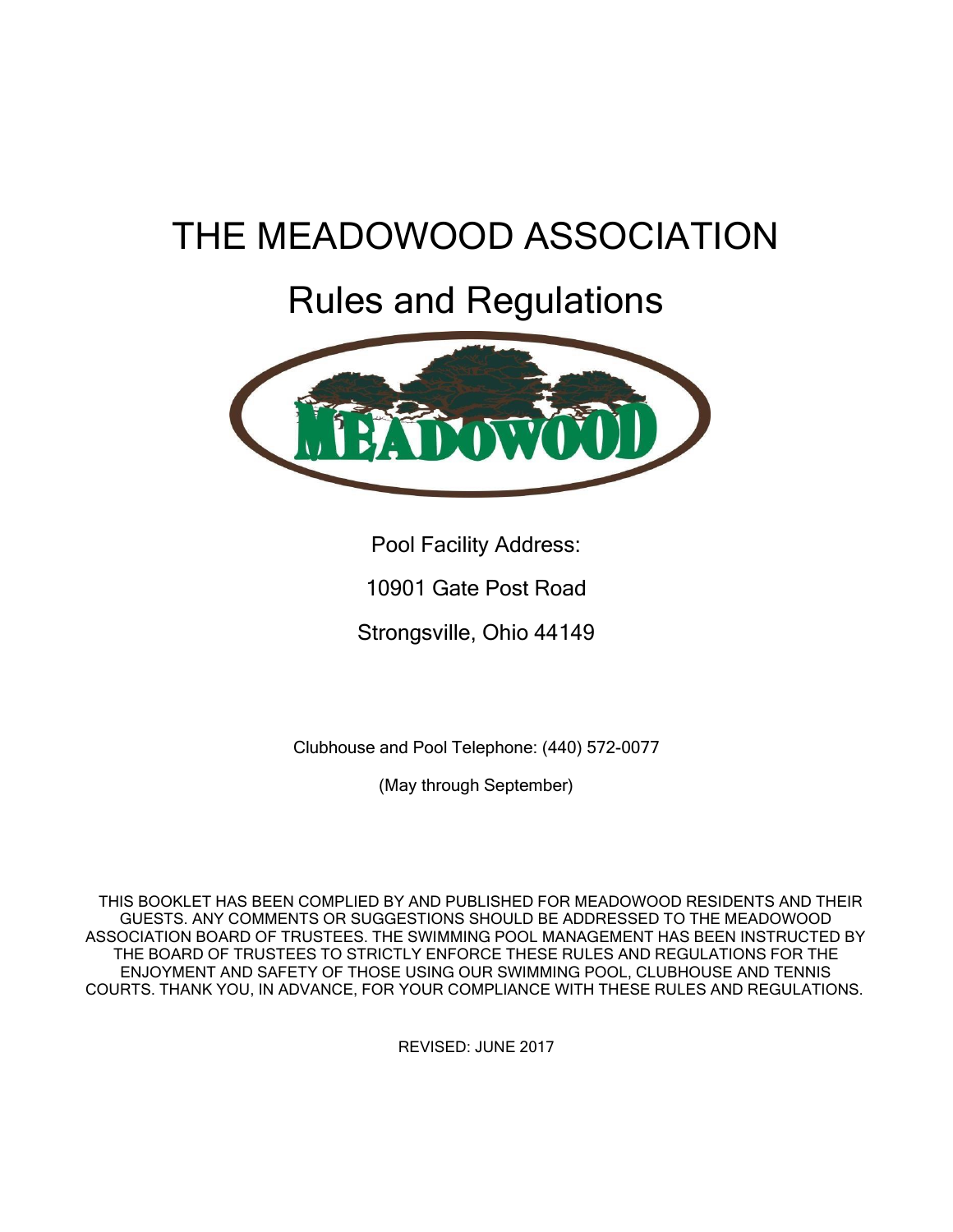# THE MEADOWOOD ASSOCIATION

## Rules and Regulations



Pool Facility Address:

10901 Gate Post Road

Strongsville, Ohio 44149

Clubhouse and Pool Telephone: (440) 572-0077

(May through September)

THIS BOOKLET HAS BEEN COMPLIED BY AND PUBLISHED FOR MEADOWOOD RESIDENTS AND THEIR GUESTS. ANY COMMENTS OR SUGGESTIONS SHOULD BE ADDRESSED TO THE MEADOWOOD ASSOCIATION BOARD OF TRUSTEES. THE SWIMMING POOL MANAGEMENT HAS BEEN INSTRUCTED BY THE BOARD OF TRUSTEES TO STRICTLY ENFORCE THESE RULES AND REGULATIONS FOR THE ENJOYMENT AND SAFETY OF THOSE USING OUR SWIMMING POOL, CLUBHOUSE AND TENNIS COURTS. THANK YOU, IN ADVANCE, FOR YOUR COMPLIANCE WITH THESE RULES AND REGULATIONS.

REVISED: JUNE 2017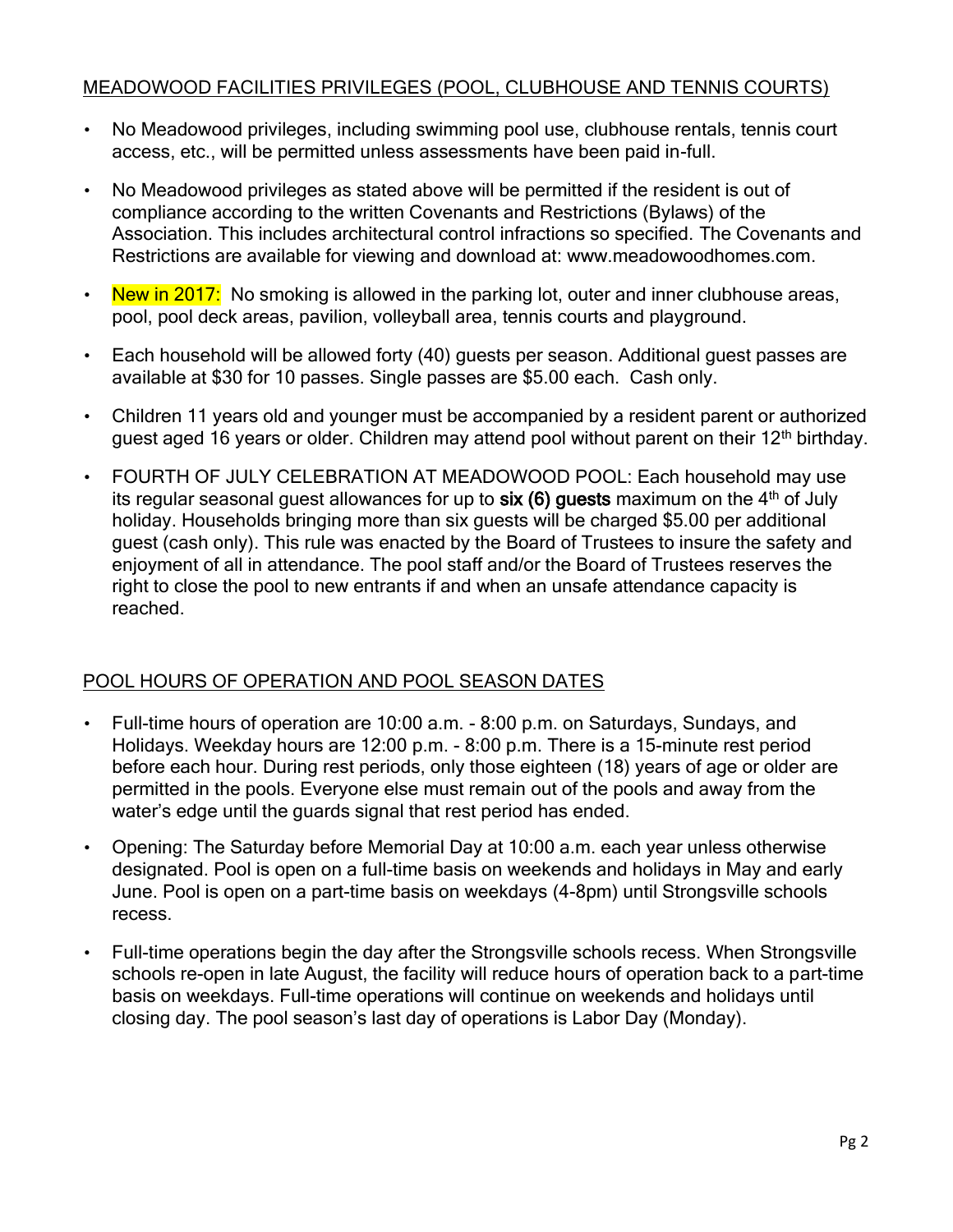## MEADOWOOD FACILITIES PRIVILEGES (POOL, CLUBHOUSE AND TENNIS COURTS)

- No Meadowood privileges, including swimming pool use, clubhouse rentals, tennis court access, etc., will be permitted unless assessments have been paid in-full.
- No Meadowood privileges as stated above will be permitted if the resident is out of compliance according to the written Covenants and Restrictions (Bylaws) of the Association. This includes architectural control infractions so specified. The Covenants and Restrictions are available for viewing and download at: www.meadowoodhomes.com.
- New in  $2017$ : No smoking is allowed in the parking lot, outer and inner clubhouse areas, pool, pool deck areas, pavilion, volleyball area, tennis courts and playground.
- Each household will be allowed forty (40) guests per season. Additional guest passes are available at \$30 for 10 passes. Single passes are \$5.00 each. Cash only.
- Children 11 years old and younger must be accompanied by a resident parent or authorized guest aged 16 years or older. Children may attend pool without parent on their 12<sup>th</sup> birthday.
- FOURTH OF JULY CELEBRATION AT MEADOWOOD POOL: Each household may use its regular seasonal quest allowances for up to  $six(6)$  guests maximum on the  $4<sup>th</sup>$  of July holiday. Households bringing more than six guests will be charged \$5.00 per additional guest (cash only). This rule was enacted by the Board of Trustees to insure the safety and enjoyment of all in attendance. The pool staff and/or the Board of Trustees reserves the right to close the pool to new entrants if and when an unsafe attendance capacity is reached.

#### POOL HOURS OF OPERATION AND POOL SEASON DATES

- Full-time hours of operation are 10:00 a.m. 8:00 p.m. on Saturdays, Sundays, and Holidays. Weekday hours are 12:00 p.m. - 8:00 p.m. There is a 15-minute rest period before each hour. During rest periods, only those eighteen (18) years of age or older are permitted in the pools. Everyone else must remain out of the pools and away from the water's edge until the guards signal that rest period has ended.
- Opening: The Saturday before Memorial Day at 10:00 a.m. each year unless otherwise designated. Pool is open on a full-time basis on weekends and holidays in May and early June. Pool is open on a part-time basis on weekdays (4-8pm) until Strongsville schools recess.
- Full-time operations begin the day after the Strongsville schools recess. When Strongsville schools re-open in late August, the facility will reduce hours of operation back to a part-time basis on weekdays. Full-time operations will continue on weekends and holidays until closing day. The pool season's last day of operations is Labor Day (Monday).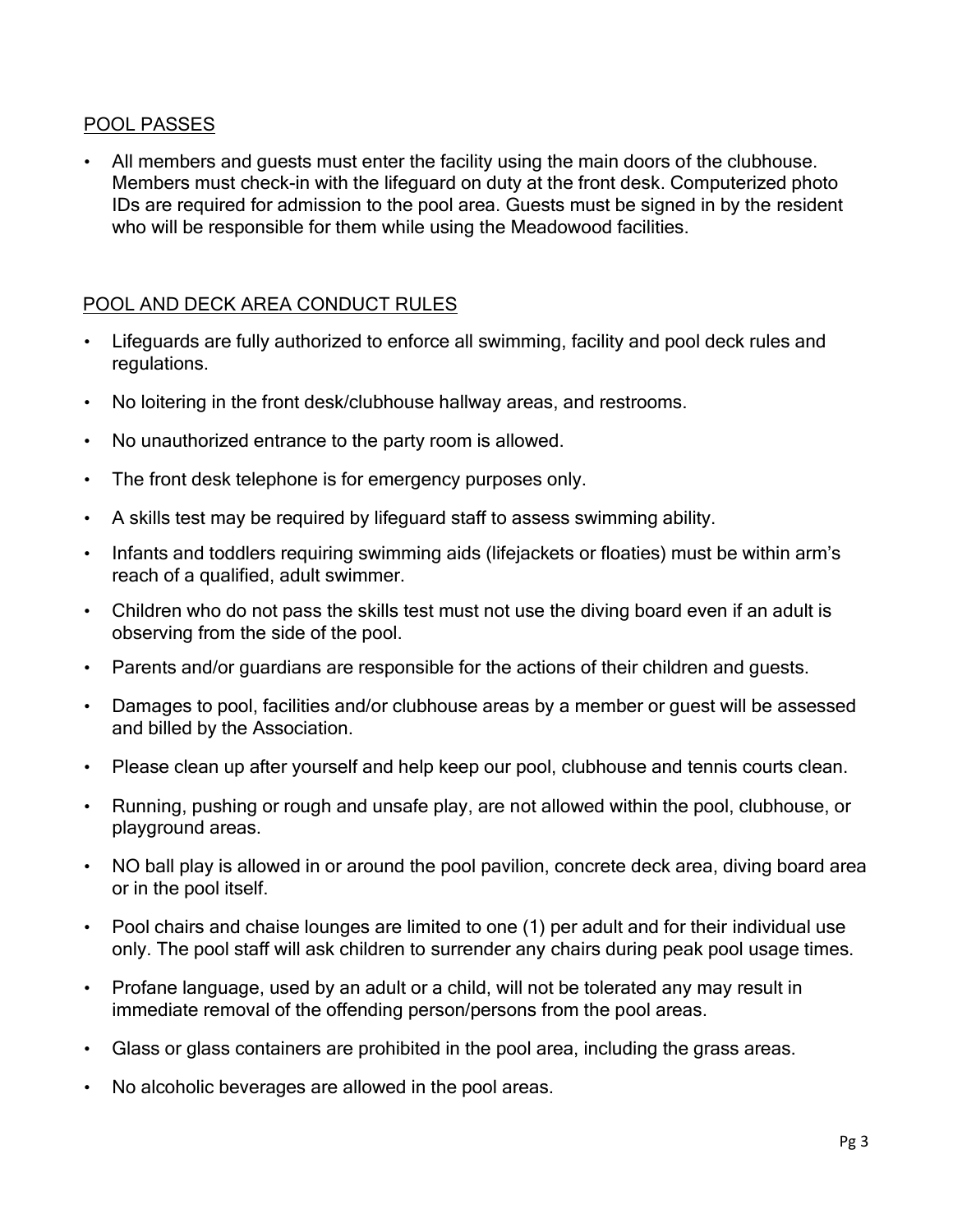## POOL PASSES

• All members and guests must enter the facility using the main doors of the clubhouse. Members must check-in with the lifeguard on duty at the front desk. Computerized photo IDs are required for admission to the pool area. Guests must be signed in by the resident who will be responsible for them while using the Meadowood facilities.

### POOL AND DECK AREA CONDUCT RULES

- Lifeguards are fully authorized to enforce all swimming, facility and pool deck rules and regulations.
- No loitering in the front desk/clubhouse hallway areas, and restrooms.
- No unauthorized entrance to the party room is allowed.
- The front desk telephone is for emergency purposes only.
- A skills test may be required by lifeguard staff to assess swimming ability.
- Infants and toddlers requiring swimming aids (lifejackets or floaties) must be within arm's reach of a qualified, adult swimmer.
- Children who do not pass the skills test must not use the diving board even if an adult is observing from the side of the pool.
- Parents and/or guardians are responsible for the actions of their children and guests.
- Damages to pool, facilities and/or clubhouse areas by a member or guest will be assessed and billed by the Association.
- Please clean up after yourself and help keep our pool, clubhouse and tennis courts clean.
- Running, pushing or rough and unsafe play, are not allowed within the pool, clubhouse, or playground areas.
- NO ball play is allowed in or around the pool pavilion, concrete deck area, diving board area or in the pool itself.
- Pool chairs and chaise lounges are limited to one (1) per adult and for their individual use only. The pool staff will ask children to surrender any chairs during peak pool usage times.
- Profane language, used by an adult or a child, will not be tolerated any may result in immediate removal of the offending person/persons from the pool areas.
- Glass or glass containers are prohibited in the pool area, including the grass areas.
- No alcoholic beverages are allowed in the pool areas.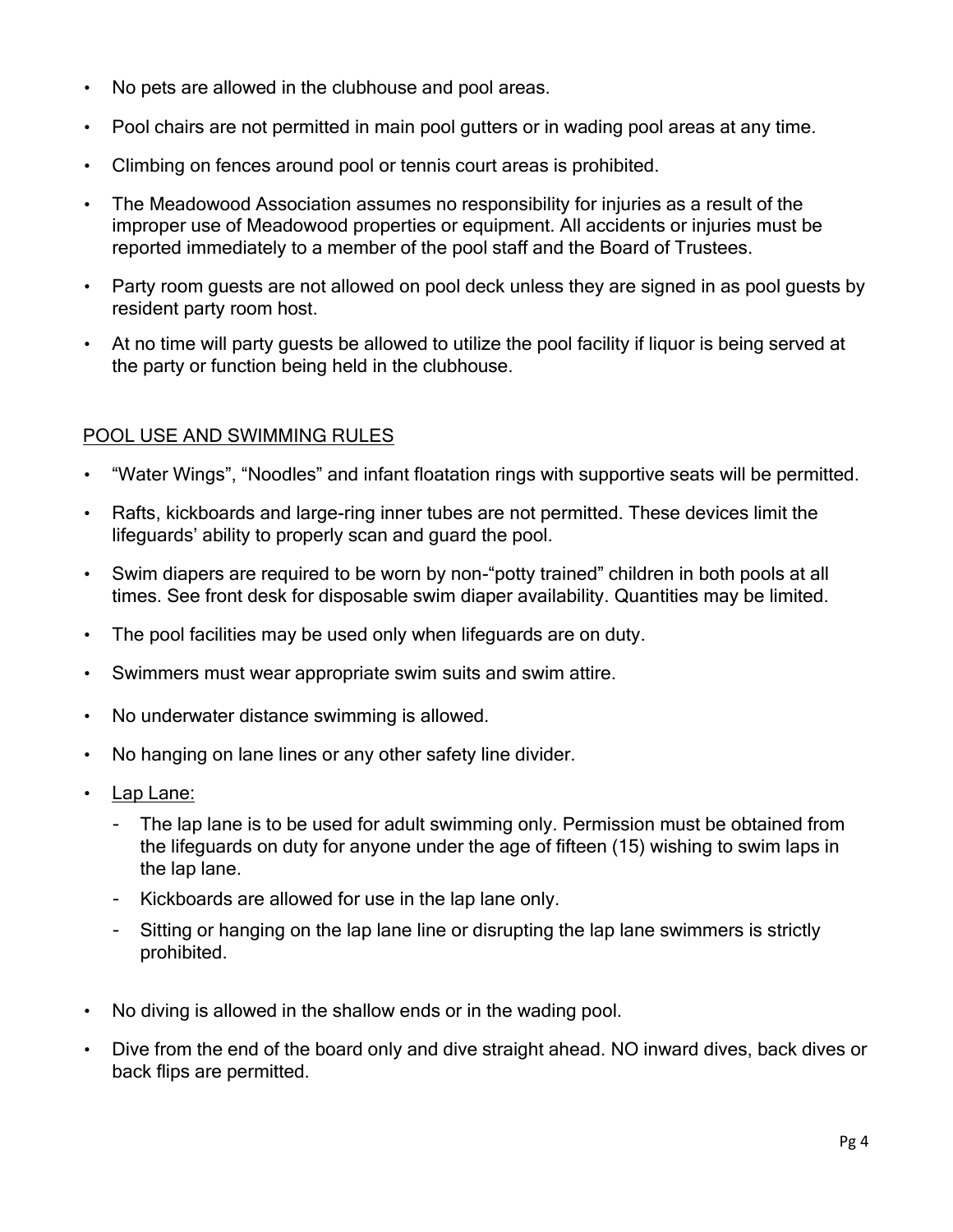- No pets are allowed in the clubhouse and pool areas.
- Pool chairs are not permitted in main pool gutters or in wading pool areas at any time.
- Climbing on fences around pool or tennis court areas is prohibited.
- The Meadowood Association assumes no responsibility for injuries as a result of the improper use of Meadowood properties or equipment. All accidents or injuries must be reported immediately to a member of the pool staff and the Board of Trustees.
- Party room guests are not allowed on pool deck unless they are signed in as pool guests by resident party room host.
- At no time will party guests be allowed to utilize the pool facility if liquor is being served at the party or function being held in the clubhouse.

## POOL USE AND SWIMMING RULES

- "Water Wings", "Noodles" and infant floatation rings with supportive seats will be permitted.
- Rafts, kickboards and large-ring inner tubes are not permitted. These devices limit the lifeguards' ability to properly scan and guard the pool.
- Swim diapers are required to be worn by non-"potty trained" children in both pools at all times. See front desk for disposable swim diaper availability. Quantities may be limited.
- The pool facilities may be used only when lifeguards are on duty.
- Swimmers must wear appropriate swim suits and swim attire.
- No underwater distance swimming is allowed.
- No hanging on lane lines or any other safety line divider.
- Lap Lane:
	- The lap lane is to be used for adult swimming only. Permission must be obtained from the lifeguards on duty for anyone under the age of fifteen (15) wishing to swim laps in the lap lane.
	- Kickboards are allowed for use in the lap lane only.
	- Sitting or hanging on the lap lane line or disrupting the lap lane swimmers is strictly prohibited.
- No diving is allowed in the shallow ends or in the wading pool.
- Dive from the end of the board only and dive straight ahead. NO inward dives, back dives or back flips are permitted.